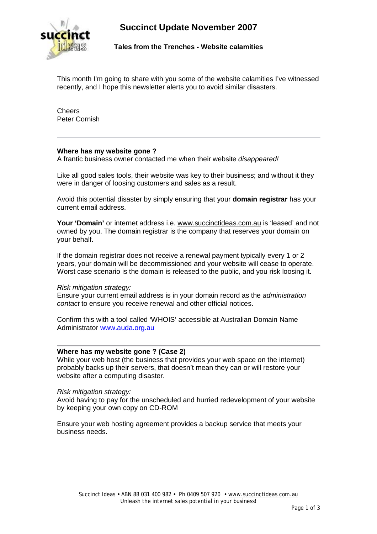

**Succinct Update November 2007** 

**Tales from the Trenches - Website calamities** 

This month I'm going to share with you some of the website calamities I've witnessed recently, and I hope this newsletter alerts you to avoid similar disasters.

**Cheers** Peter Cornish

# **Where has my website gone ?**

A frantic business owner contacted me when their website *disappeared!*

Like all good sales tools, their website was key to their business; and without it they were in danger of loosing customers and sales as a result.

Avoid this potential disaster by simply ensuring that your **domain registrar** has your current email address.

Your 'Domain' or internet address i.e. [www.succinctideas.com.au](http://www.succinctideas.com.au) is 'leased' and not owned by you. The domain registrar is the company that reserves your domain on your behalf.

If the domain registrar does not receive a renewal payment typically every 1 or 2 years, your domain will be decommissioned and your website will cease to operate. Worst case scenario is the domain is released to the public, and you risk loosing it.

## *Risk mitigation strategy:*

Ensure your current email address is in your domain record as the *administration contact* to ensure you receive renewal and other official notices.

Confirm this with a tool called 'WHOIS' accessible at Australian Domain Name Administrator [www.auda.org.au](http://www.auda.org.au) 

# **Where has my website gone ? (Case 2)**

While your web host (the business that provides your web space on the internet) probably backs up their servers, that doesn't mean they can or will restore your website after a computing disaster.

## *Risk mitigation strategy:*

Avoid having to pay for the unscheduled and hurried redevelopment of your website by keeping your own copy on CD-ROM

Ensure your web hosting agreement provides a backup service that meets your business needs.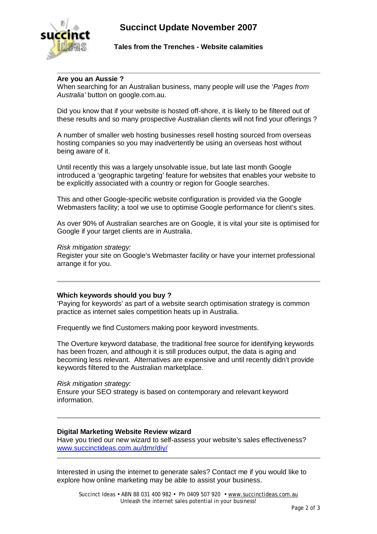

## **Tales from the Trenches - Website calamities**

# **Are you an Aussie ?**

When searching for an Australian business, many people will use the '*Pages from Australia'* button on google.com.au.

Did you know that if your website is hosted off-shore, it is likely to be filtered out of these results and so many prospective Australian clients will not find your offerings ?

A number of smaller web hosting businesses resell hosting sourced from overseas hosting companies so you may inadvertently be using an overseas host without being aware of it.

Until recently this was a largely unsolvable issue, but late last month Google introduced a 'geographic targeting' feature for websites that enables your website to be explicitly associated with a country or region for Google searches.

This and other Google-specific website configuration is provided via the Google Webmasters facility; a tool we use to optimise Google performance for client's sites.

As over 90% of Australian searches are on Google, it is vital your site is optimised for Google if your target clients are in Australia.

#### *Risk mitigation strategy:*

Register your site on Google's Webmaster facility or have your internet professional arrange it for you.

## **Which keywords should you buy ?**

'Paying for keywords' as part of a website search optimisation strategy is common practice as internet sales competition heats up in Australia.

Frequently we find Customers making poor keyword investments.

The Overture keyword database, the traditional free source for identifying keywords has been frozen, and although it is still produces output, the data is aging and becoming less relevant. Alternatives are expensive and until recently didn't provide keywords filtered to the Australian marketplace.

*Risk mitigation strategy:*  Ensure your SEO strategy is based on contemporary and relevant keyword information.

## **Digital Marketing Website Review wizard**

Have you tried our new wizard to self-assess your website's sales effectiveness? [www.succinctideas.com.au/dmr/diy/](http://www.succinctideas.com.au/dmr/diy/)

Interested in using the internet to generate sales? Contact me if you would like to explore how online marketing may be able to assist your business.